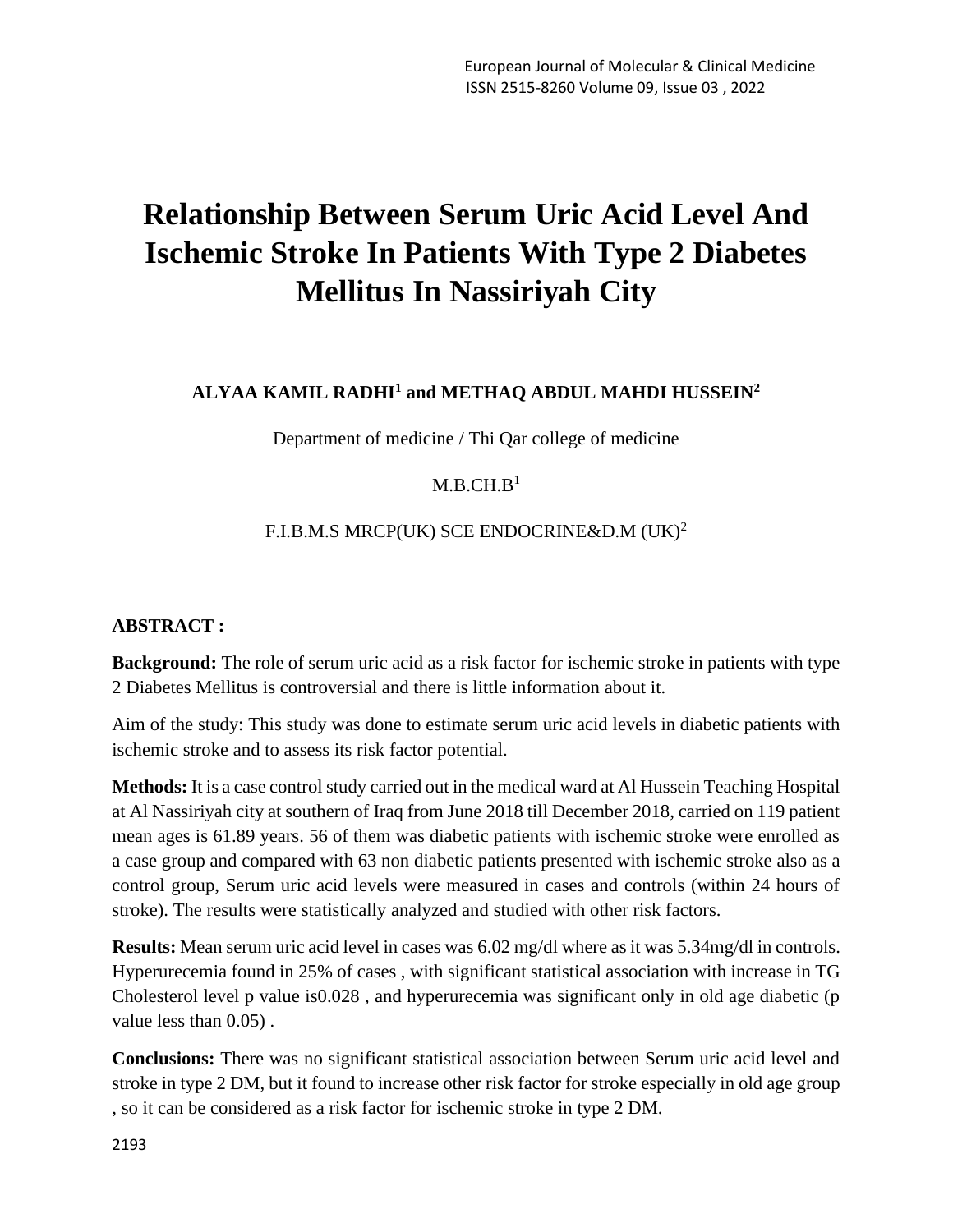# **Relationship Between Serum Uric Acid Level And Ischemic Stroke In Patients With Type 2 Diabetes Mellitus In Nassiriyah City**

# **ALYAA KAMIL RADHI<sup>1</sup> and METHAQ ABDUL MAHDI HUSSEIN<sup>2</sup>**

Department of medicine / Thi Qar college of medicine

### $M.B.CH.B<sup>1</sup>$

# F.I.B.M.S MRCP(UK) SCE ENDOCRINE&D.M (UK)<sup>2</sup>

#### **ABSTRACT :**

**Background:** The role of serum uric acid as a risk factor for ischemic stroke in patients with type 2 Diabetes Mellitus is controversial and there is little information about it.

Aim of the study: This study was done to estimate serum uric acid levels in diabetic patients with ischemic stroke and to assess its risk factor potential.

**Methods:** It is a case control study carried out in the medical ward at Al Hussein Teaching Hospital at Al Nassiriyah city at southern of Iraq from June 2018 till December 2018, carried on 119 patient mean ages is 61.89 years. 56 of them was diabetic patients with ischemic stroke were enrolled as a case group and compared with 63 non diabetic patients presented with ischemic stroke also as a control group, Serum uric acid levels were measured in cases and controls (within 24 hours of stroke). The results were statistically analyzed and studied with other risk factors.

**Results:** Mean serum uric acid level in cases was 6.02 mg/dl where as it was 5.34mg/dl in controls. Hyperurecemia found in 25% of cases , with significant statistical association with increase in TG Cholesterol level p value is0.028 , and hyperurecemia was significant only in old age diabetic (p value less than 0.05) .

**Conclusions:** There was no significant statistical association between Serum uric acid level and stroke in type 2 DM, but it found to increase other risk factor for stroke especially in old age group , so it can be considered as a risk factor for ischemic stroke in type 2 DM.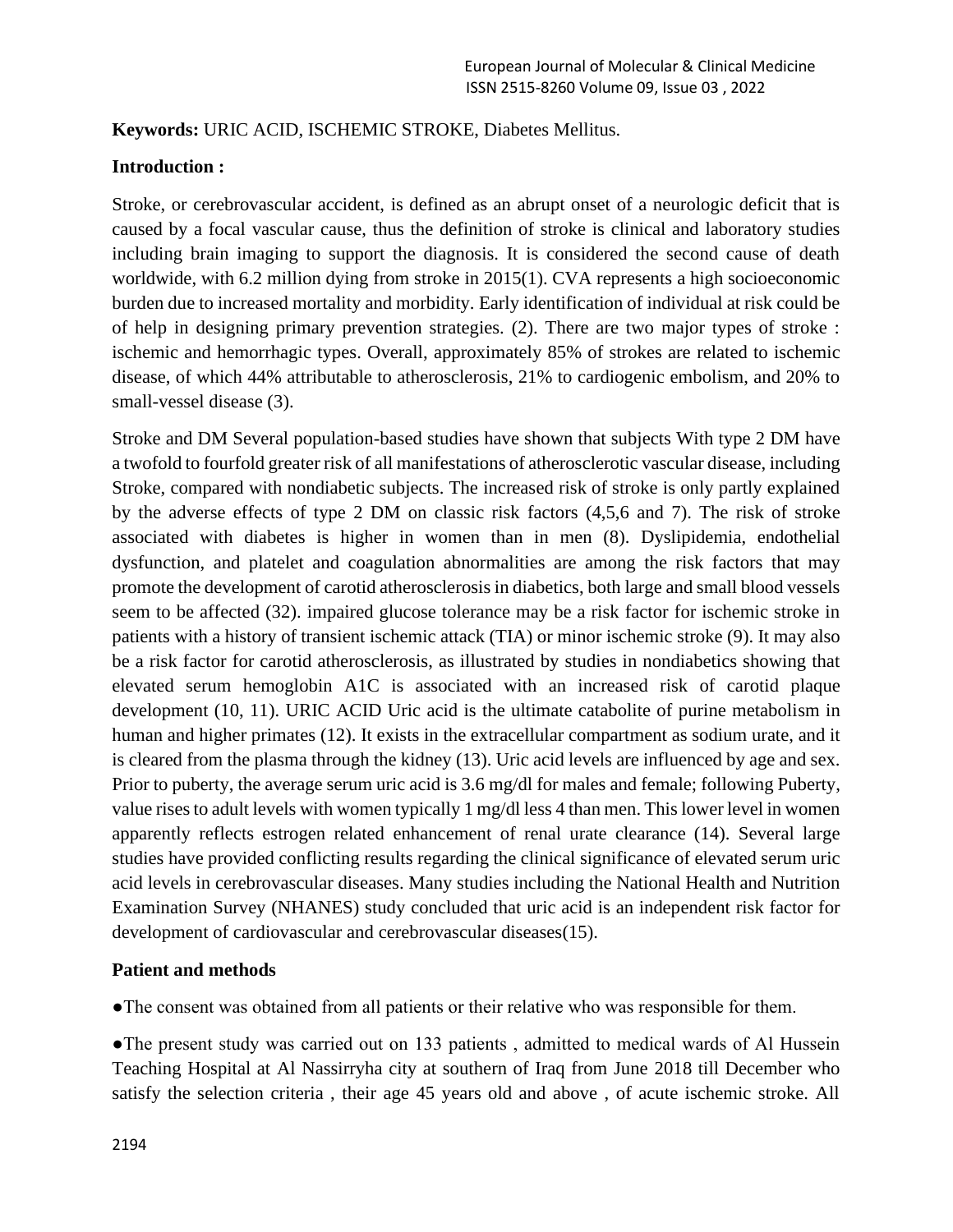#### **Keywords:** URIC ACID, ISCHEMIC STROKE, Diabetes Mellitus.

#### **Introduction :**

Stroke, or cerebrovascular accident, is defined as an abrupt onset of a neurologic deficit that is caused by a focal vascular cause, thus the definition of stroke is clinical and laboratory studies including brain imaging to support the diagnosis. It is considered the second cause of death worldwide, with 6.2 million dying from stroke in 2015(1). CVA represents a high socioeconomic burden due to increased mortality and morbidity. Early identification of individual at risk could be of help in designing primary prevention strategies. (2). There are two major types of stroke : ischemic and hemorrhagic types. Overall, approximately 85% of strokes are related to ischemic disease, of which 44% attributable to atherosclerosis, 21% to cardiogenic embolism, and 20% to small-vessel disease (3).

Stroke and DM Several population-based studies have shown that subjects With type 2 DM have a twofold to fourfold greater risk of all manifestations of atherosclerotic vascular disease, including Stroke, compared with nondiabetic subjects. The increased risk of stroke is only partly explained by the adverse effects of type 2 DM on classic risk factors (4,5,6 and 7). The risk of stroke associated with diabetes is higher in women than in men (8). Dyslipidemia, endothelial dysfunction, and platelet and coagulation abnormalities are among the risk factors that may promote the development of carotid atherosclerosis in diabetics, both large and small blood vessels seem to be affected (32). impaired glucose tolerance may be a risk factor for ischemic stroke in patients with a history of transient ischemic attack (TIA) or minor ischemic stroke (9). It may also be a risk factor for carotid atherosclerosis, as illustrated by studies in nondiabetics showing that elevated serum hemoglobin A1C is associated with an increased risk of carotid plaque development (10, 11). URIC ACID Uric acid is the ultimate catabolite of purine metabolism in human and higher primates (12). It exists in the extracellular compartment as sodium urate, and it is cleared from the plasma through the kidney (13). Uric acid levels are influenced by age and sex. Prior to puberty, the average serum uric acid is 3.6 mg/dl for males and female; following Puberty, value rises to adult levels with women typically 1 mg/dl less 4 than men. This lower level in women apparently reflects estrogen related enhancement of renal urate clearance (14). Several large studies have provided conflicting results regarding the clinical significance of elevated serum uric acid levels in cerebrovascular diseases. Many studies including the National Health and Nutrition Examination Survey (NHANES) study concluded that uric acid is an independent risk factor for development of cardiovascular and cerebrovascular diseases(15).

# **Patient and methods**

●The consent was obtained from all patients or their relative who was responsible for them.

●The present study was carried out on 133 patients , admitted to medical wards of Al Hussein Teaching Hospital at Al Nassirryha city at southern of Iraq from June 2018 till December who satisfy the selection criteria , their age 45 years old and above , of acute ischemic stroke. All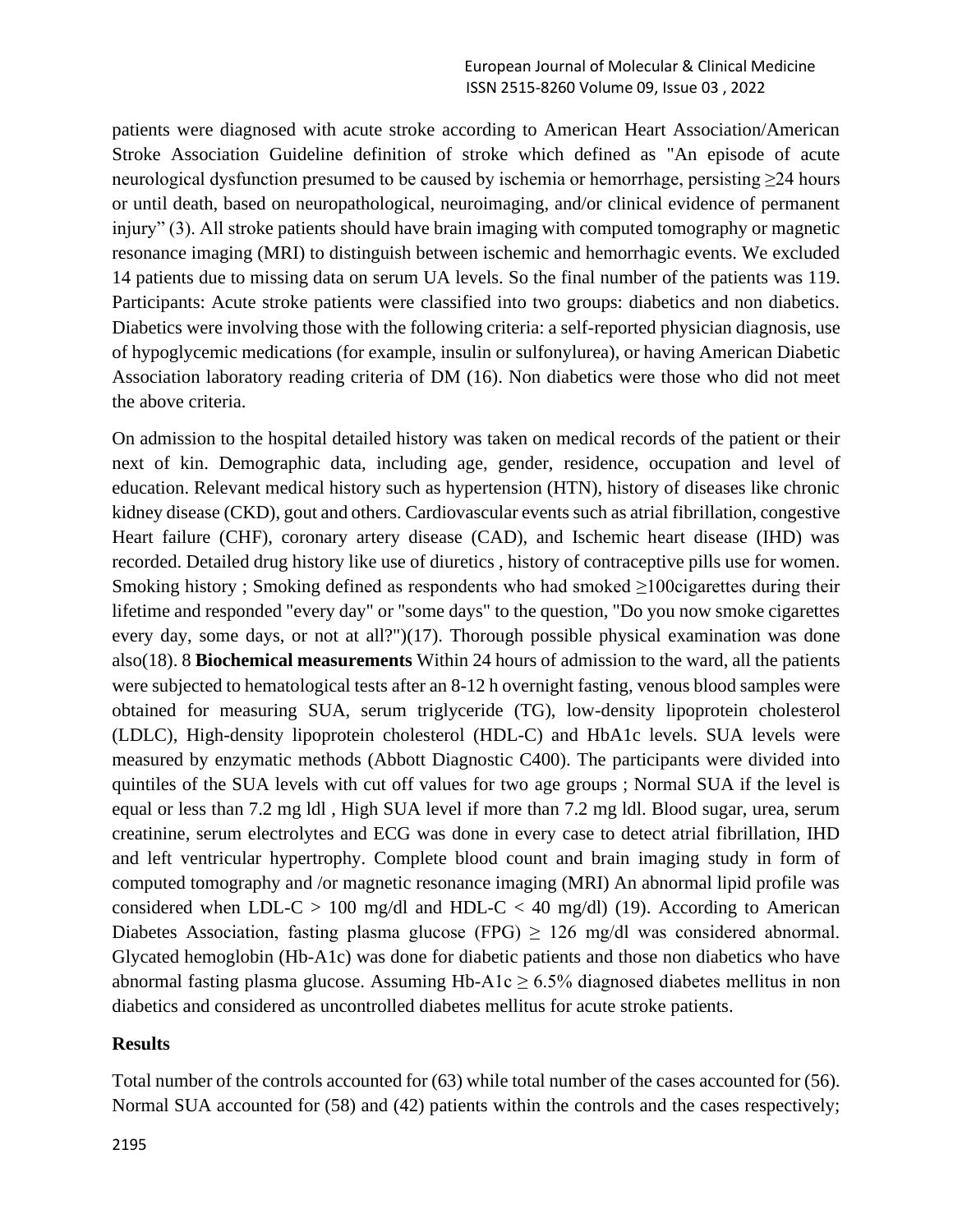patients were diagnosed with acute stroke according to American Heart Association/American Stroke Association Guideline definition of stroke which defined as "An episode of acute neurological dysfunction presumed to be caused by ischemia or hemorrhage, persisting ≥24 hours or until death, based on neuropathological, neuroimaging, and/or clinical evidence of permanent injury" (3). All stroke patients should have brain imaging with computed tomography or magnetic resonance imaging (MRI) to distinguish between ischemic and hemorrhagic events. We excluded 14 patients due to missing data on serum UA levels. So the final number of the patients was 119. Participants: Acute stroke patients were classified into two groups: diabetics and non diabetics. Diabetics were involving those with the following criteria: a self-reported physician diagnosis, use of hypoglycemic medications (for example, insulin or sulfonylurea), or having American Diabetic Association laboratory reading criteria of DM (16). Non diabetics were those who did not meet the above criteria.

On admission to the hospital detailed history was taken on medical records of the patient or their next of kin. Demographic data, including age, gender, residence, occupation and level of education. Relevant medical history such as hypertension (HTN), history of diseases like chronic kidney disease (CKD), gout and others. Cardiovascular events such as atrial fibrillation, congestive Heart failure (CHF), coronary artery disease (CAD), and Ischemic heart disease (IHD) was recorded. Detailed drug history like use of diuretics , history of contraceptive pills use for women. Smoking history ; Smoking defined as respondents who had smoked  $\geq 100$ cigarettes during their lifetime and responded "every day" or "some days" to the question, "Do you now smoke cigarettes every day, some days, or not at all?")(17). Thorough possible physical examination was done also(18). 8 **Biochemical measurements** Within 24 hours of admission to the ward, all the patients were subjected to hematological tests after an 8-12 h overnight fasting, venous blood samples were obtained for measuring SUA, serum triglyceride (TG), low-density lipoprotein cholesterol (LDLC), High-density lipoprotein cholesterol (HDL-C) and HbA1c levels. SUA levels were measured by enzymatic methods (Abbott Diagnostic C400). The participants were divided into quintiles of the SUA levels with cut off values for two age groups ; Normal SUA if the level is equal or less than 7.2 mg ldl , High SUA level if more than 7.2 mg ldl. Blood sugar, urea, serum creatinine, serum electrolytes and ECG was done in every case to detect atrial fibrillation, IHD and left ventricular hypertrophy. Complete blood count and brain imaging study in form of computed tomography and /or magnetic resonance imaging (MRI) An abnormal lipid profile was considered when LDL-C  $> 100 \text{ mg/dl}$  and HDL-C  $< 40 \text{ mg/dl}$  (19). According to American Diabetes Association, fasting plasma glucose (FPG)  $\geq$  126 mg/dl was considered abnormal. Glycated hemoglobin (Hb-A1c) was done for diabetic patients and those non diabetics who have abnormal fasting plasma glucose. Assuming Hb-A1c  $\geq$  6.5% diagnosed diabetes mellitus in non diabetics and considered as uncontrolled diabetes mellitus for acute stroke patients.

#### **Results**

Total number of the controls accounted for (63) while total number of the cases accounted for (56). Normal SUA accounted for (58) and (42) patients within the controls and the cases respectively;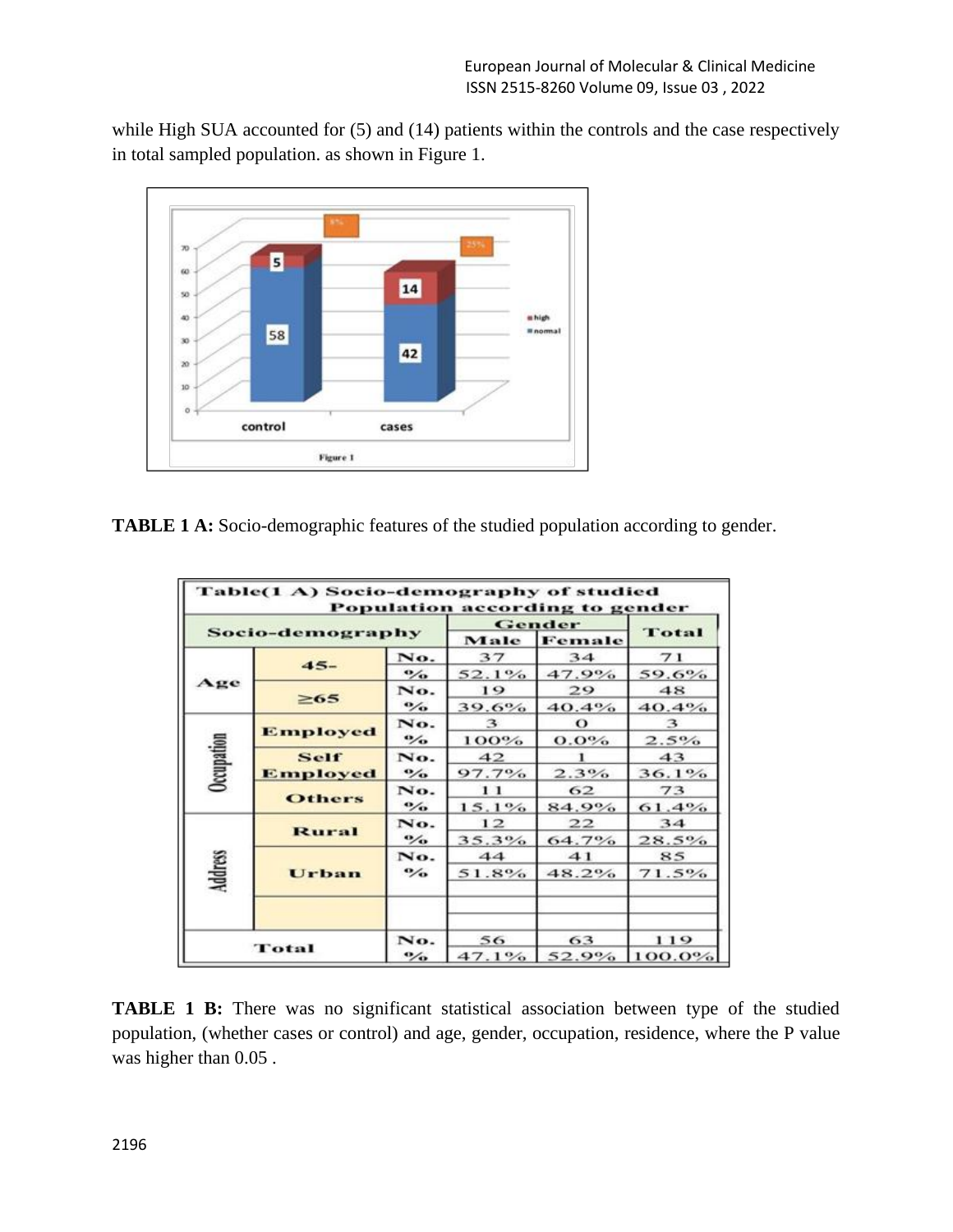while High SUA accounted for (5) and (14) patients within the controls and the case respectively in total sampled population. as shown in Figure 1.



**TABLE 1 A:** Socio-demographic features of the studied population according to gender.

| Socio-demography |                  |                             | Gender   |          |           |
|------------------|------------------|-----------------------------|----------|----------|-----------|
|                  |                  |                             | Male     | Female   | Total     |
| Age              | $45-$            | No.                         | 37       | 34       | 71        |
|                  |                  | $\cdot$                     | 52.1%    | 47.9%    | 59.6%     |
|                  | $\geq 65$        | No.                         | 19       | 29       | 48        |
|                  |                  | $\frac{1}{2}$               | 39.6%    | 40.4%    | 40.4%     |
| Occupation       | <b>Employed</b>  | No.                         | 3        | $\Omega$ | 3         |
|                  |                  | $\frac{1}{2}$               | 100%     | $0.0\%$  | 2.5%      |
|                  | Self<br>Employed | No.                         | 42       |          | 43        |
|                  |                  | $\mathcal{O}_{\mathcal{O}}$ | 97.7%    | 2.3%     | 36.1%     |
|                  | <b>Others</b>    | No.                         | 11       | 62       | 73        |
|                  |                  | $\mathbf{O}_\mathbf{O}$     | $15.1\%$ | 84.9%    | 61.4%     |
|                  | <b>Rural</b>     | No.                         | 12       | 22       | 34        |
|                  |                  | $\mathcal{O}_{\mathcal{O}}$ | $35.3\%$ | 64.7%    | 28.5%     |
| Address          |                  | No.                         | 44       | 41       | 85        |
|                  | Urban            | $\mathcal{O}_{\mathbf{O}}$  | 51.8%    | $48.2\%$ | 71.5%     |
|                  |                  |                             |          |          |           |
| Total            |                  | No.                         | 56       | 63       | 119       |
|                  |                  | $\mathcal{O}_{\mathbf{O}}$  | 47.1%    | 52.9%    | $100.0\%$ |

**TABLE 1 B:** There was no significant statistical association between type of the studied population, (whether cases or control) and age, gender, occupation, residence, where the P value was higher than 0.05 .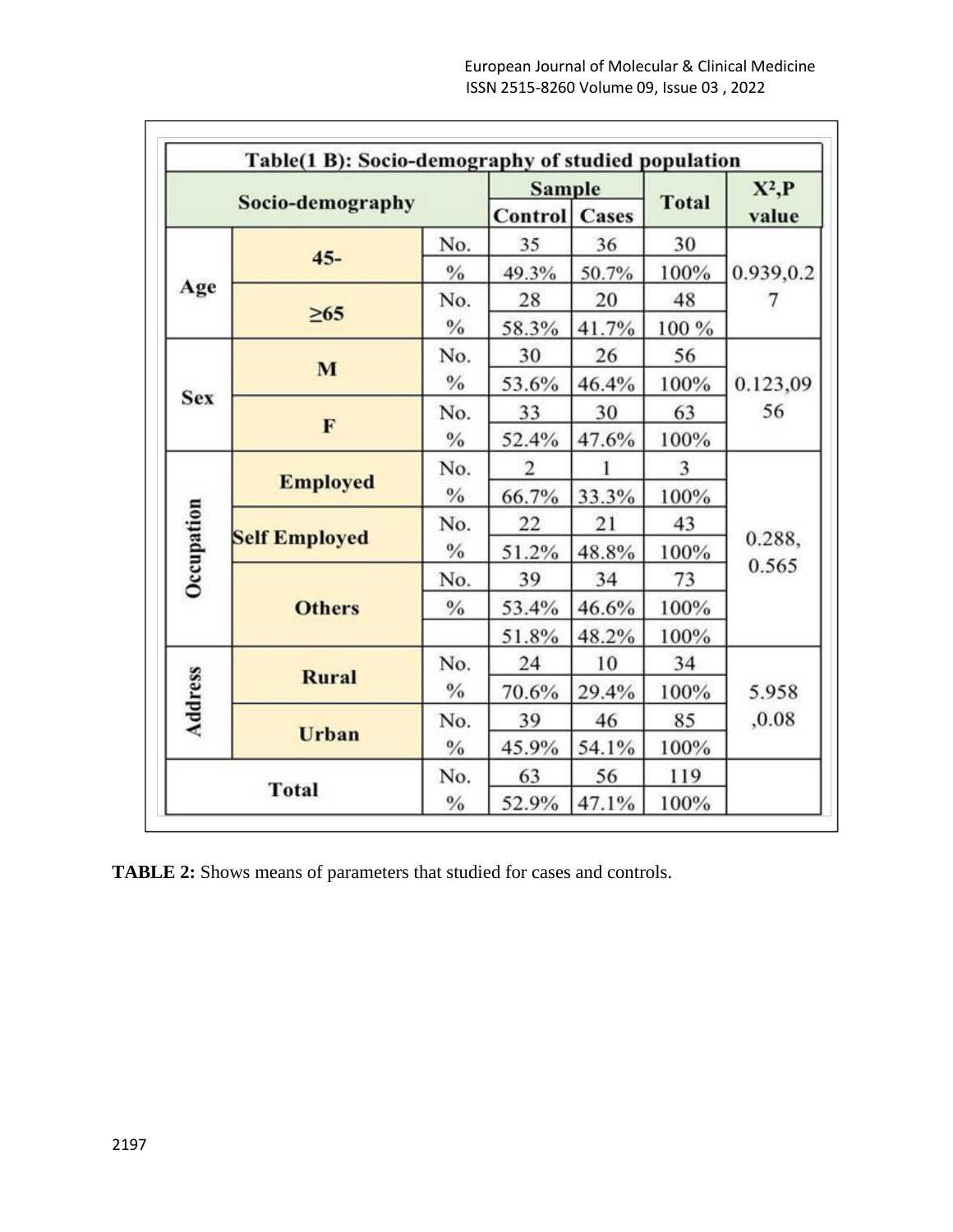|                                      |                      | <b>Sample</b> |                      |       | $X^2, P$     |           |  |  |
|--------------------------------------|----------------------|---------------|----------------------|-------|--------------|-----------|--|--|
| Socio-demography                     |                      |               | <b>Control</b> Cases |       | <b>Total</b> | value     |  |  |
| Age                                  | $45 -$               | No.           | 35                   | 36    | 30           |           |  |  |
|                                      |                      | $\frac{0}{2}$ | 49.3%                | 50.7% | 100%         | 0.939,0.2 |  |  |
|                                      |                      | No.           | 28                   | 20    | 48           |           |  |  |
|                                      | $\geq 65$            | $\frac{0}{0}$ | 58.3%                | 41.7% | 100 %        |           |  |  |
|                                      | M                    | No.           | 30                   | 26    | 56           |           |  |  |
|                                      |                      | $\frac{0}{0}$ | 53.6%                | 46.4% | 100%         | 0.123,09  |  |  |
| <b>Sex</b>                           |                      | No.           | 33                   | 30    | 63           | 56        |  |  |
|                                      | F                    | $\%$          | 52.4%                | 47.6% | 100%         |           |  |  |
|                                      | <b>Employed</b>      | No.           | 2                    |       | 3            |           |  |  |
|                                      |                      | $\frac{9}{6}$ | 66.7%                | 33.3% | 100%         |           |  |  |
| Occupation                           | <b>Self Employed</b> | No.           | 22                   | 21    | 43           |           |  |  |
|                                      |                      | $\frac{0}{0}$ | 51.2%                | 48.8% | 100%         | 0.288,    |  |  |
|                                      | <b>Others</b>        | No.           | 39                   | 34    | 73           | 0.565     |  |  |
|                                      |                      | $\frac{0}{0}$ | 53.4%                | 46.6% | 100%         |           |  |  |
|                                      |                      |               | 51.8%                | 48.2% | 100%         |           |  |  |
|                                      | <b>Rural</b>         | No.           | 24                   | 10    | 34           |           |  |  |
|                                      |                      | $\%$          | 70.6%                | 29.4% | 100%         | 5.958     |  |  |
| Address                              |                      | No.           | 39                   | 46    | 85           | ,0.08     |  |  |
|                                      | Urban                | $\frac{0}{0}$ | 45.9%                | 54.1% | 100%         |           |  |  |
| No.<br><b>Total</b><br>$\frac{0}{0}$ |                      | 63            | 56                   | 119   |              |           |  |  |
|                                      |                      |               | 52.9%                | 47.1% | 100%         |           |  |  |

**TABLE 2:** Shows means of parameters that studied for cases and controls.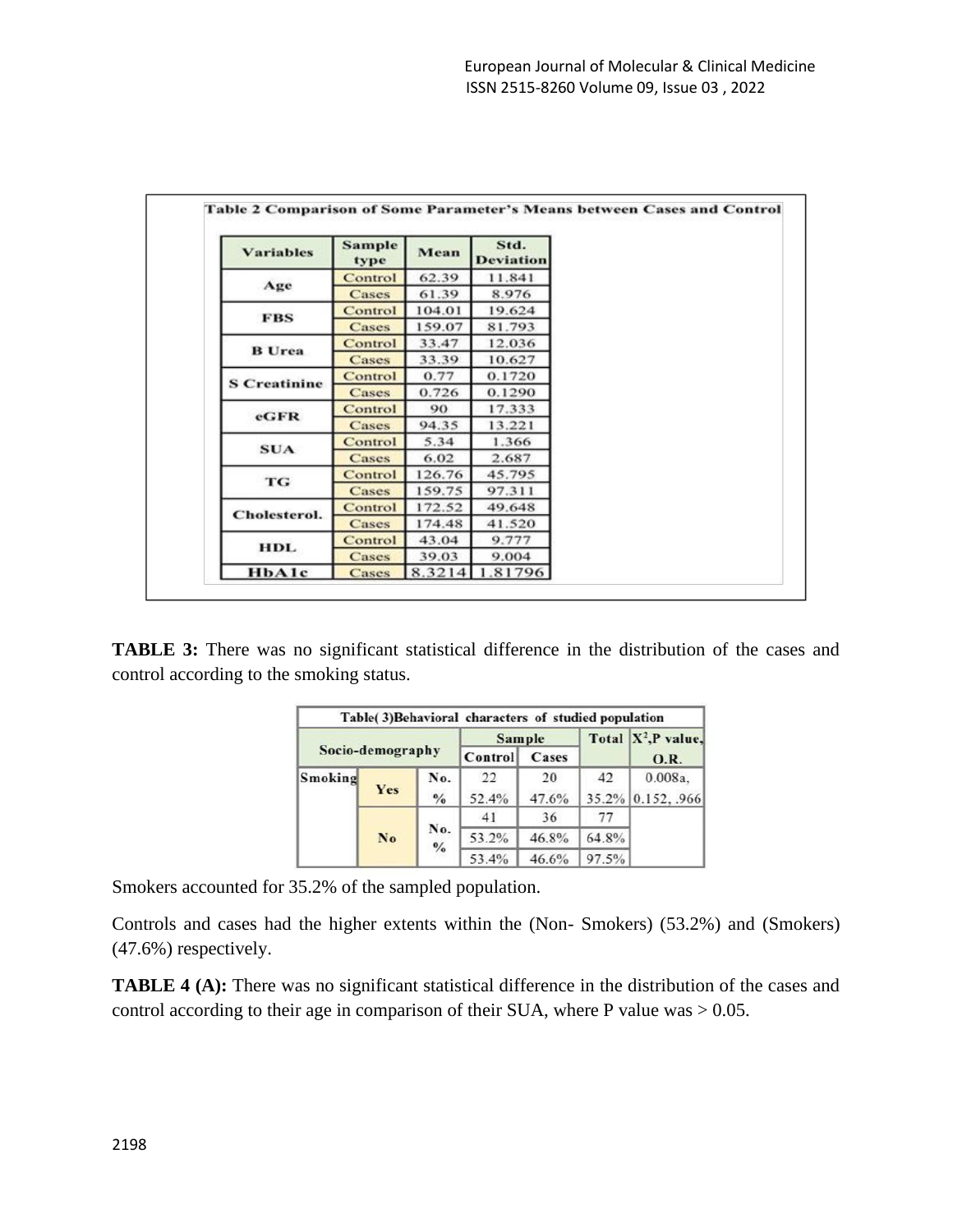| <b>Variables</b>    | <b>Sample</b><br>type | Mean   | Std.<br><b>Deviation</b> |  |
|---------------------|-----------------------|--------|--------------------------|--|
| Age                 | Control               | 62.39  | 11.841                   |  |
|                     | Cases                 | 61.39  | 8.976                    |  |
| <b>FBS</b>          | Control               | 104.01 | 19.624                   |  |
|                     | Cases                 | 159.07 | 81.793                   |  |
| <b>B</b> Urea       | Control               | 33.47  | 12.036                   |  |
|                     | Cases                 | 33.39  | 10.627                   |  |
| <b>S</b> Creatinine | Control               | 0.77   | 0.1720                   |  |
|                     | Cases                 | 0.726  | 0.1290                   |  |
| eGFR                | Control               | 90     | 17.333                   |  |
|                     | Cases                 | 94.35  | 13.221                   |  |
| <b>SUA</b>          | Control               | 5.34   | 1.366                    |  |
|                     | Cases                 | 6.02   | 2.687                    |  |
| TG                  | Control               | 126.76 | 45.795                   |  |
|                     | Cases                 | 159.75 | 97.311                   |  |
| Cholesterol.        | Control               | 172.52 | 49.648                   |  |
|                     | Cases                 | 174.48 | 41.520                   |  |
| <b>HDL</b>          | Control               | 43.04  | 9.777                    |  |
|                     | Cases                 | 39.03  | 9.004                    |  |
| <b>HbAlc</b>        | Cases                 | 8.3214 | .81796                   |  |

**TABLE 3:** There was no significant statistical difference in the distribution of the cases and control according to the smoking status.

|                  |     |                      | Table(3)Behavioral characters of studied population |       |       |                        |
|------------------|-----|----------------------|-----------------------------------------------------|-------|-------|------------------------|
| Socio-demography |     |                      | <b>Sample</b>                                       |       |       | Total $X^2$ , P value, |
|                  |     |                      | Control                                             | Cases |       | <b>O.R.</b>            |
| Smoking          | Yes | No.                  | 22                                                  | 20    | 42    | 0.008a.                |
|                  |     | $\frac{0}{\alpha}$   | 52.4%                                               | 47.6% |       | 35.2% 0.152, .966      |
|                  |     |                      | 41                                                  | 36    | 77    |                        |
|                  | No  | No.                  | 53.2%                                               | 46.8% | 64.8% |                        |
|                  |     | $\frac{0}{\sqrt{6}}$ | 53.4%                                               | 46.6% | 97.5% |                        |

Smokers accounted for 35.2% of the sampled population.

Controls and cases had the higher extents within the (Non- Smokers) (53.2%) and (Smokers) (47.6%) respectively.

**TABLE 4 (A):** There was no significant statistical difference in the distribution of the cases and control according to their age in comparison of their SUA, where P value was  $> 0.05$ .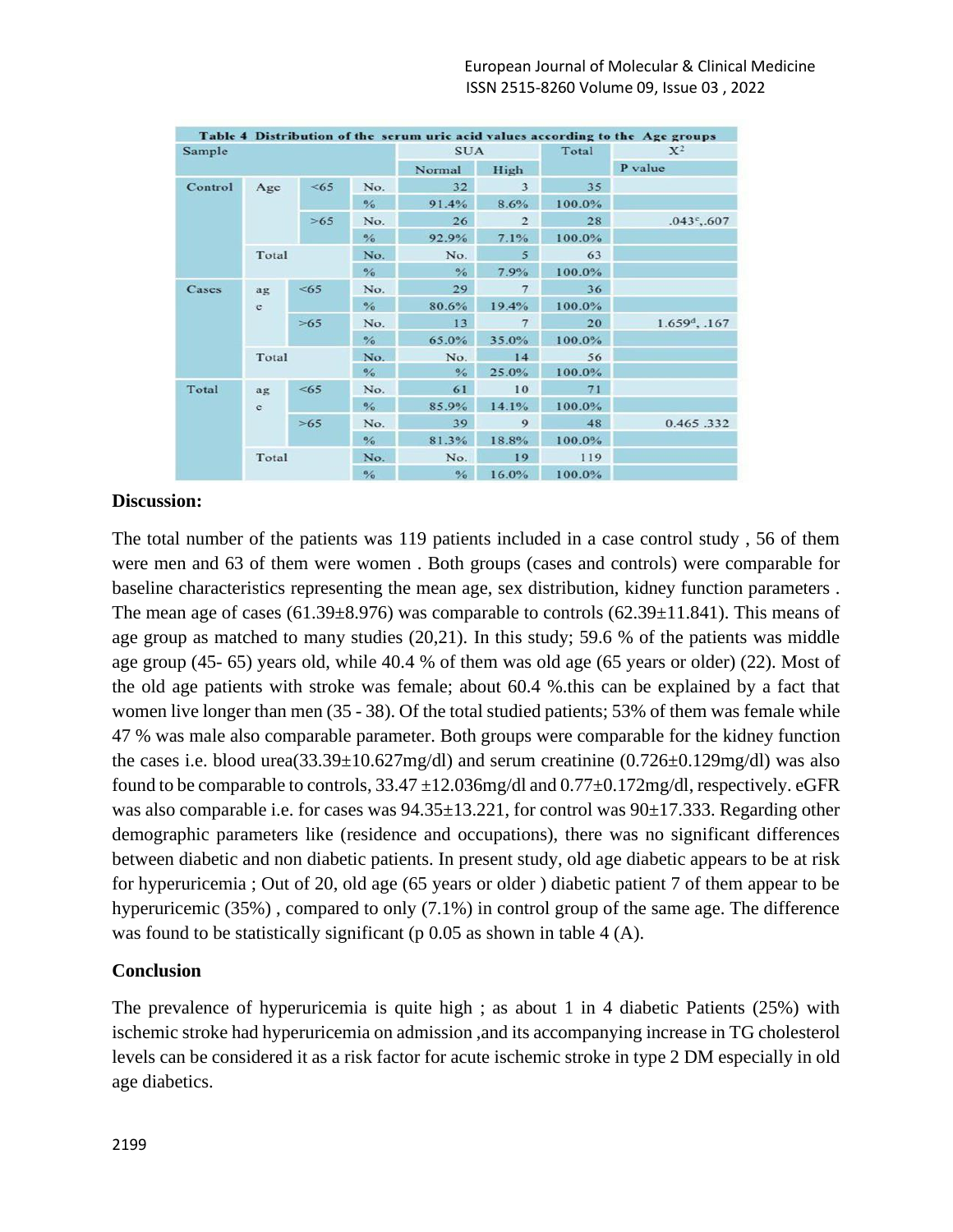|         |                               |       |               |               |                    |         | Table 4 Distribution of the serum uric acid values according to the Age groups |
|---------|-------------------------------|-------|---------------|---------------|--------------------|---------|--------------------------------------------------------------------------------|
| Sample  |                               |       |               | <b>SUA</b>    |                    | Total   | $X^2$                                                                          |
|         |                               |       |               | Normal        | High               |         | P value                                                                        |
| Control | Age                           | <65   | No.           | 32            | 3                  | 35      |                                                                                |
|         |                               |       | %             | 91.4%         | 8.6%               | 100.0%  |                                                                                |
|         |                               | >65   | No.           | 26            | $\overline{2}$     | 28      | $.043^{\circ}$ , 607                                                           |
|         |                               |       | $\frac{0}{6}$ | 92.9%         | 7.1%               | 100.0%  |                                                                                |
|         | Total<br>No.<br>$\frac{6}{6}$ |       | No.           | 5             | 63                 |         |                                                                                |
|         |                               |       |               | $\%$          | 7.9%               | 100.0%  |                                                                                |
| Cases   | ag<br>$\mathbf{c}$            | < 65  | No.           | 29            | $\overline{7}$     | 36      |                                                                                |
|         |                               |       | $\frac{0}{6}$ | 80.6%         | 19.4%              | 100.0%  |                                                                                |
|         |                               | >65   | No.           | 13            | $\overline{7}$     | 20      | $1.659d$ , .167                                                                |
|         |                               |       | $\frac{0}{6}$ | 65.0%         | 35.0%              | 100.0%  |                                                                                |
|         | Total                         |       | No.           | No.           | 14                 | 56      |                                                                                |
|         |                               |       | $\frac{6}{6}$ | $\frac{6}{6}$ | 25.0%              | 100.0%  |                                                                                |
| Total   | ag                            | <65   | No.           | 61            | 10                 | 71      |                                                                                |
|         | e                             |       | $\frac{0}{6}$ | 85.9%         | 14.1%              | 100.0%  |                                                                                |
|         |                               | $>65$ | No.           | 39            | 9                  | 48      | 0.465.332                                                                      |
|         |                               |       | $\frac{9}{6}$ | 81.3%         | 18.8%              | 100.0%  |                                                                                |
|         | Total                         |       | No.           | No.           | 19                 | 119     |                                                                                |
|         |                               |       | 0/            | 0/2           | 16.09 <sub>4</sub> | 100.094 |                                                                                |

#### **Discussion:**

The total number of the patients was 119 patients included in a case control study , 56 of them were men and 63 of them were women . Both groups (cases and controls) were comparable for baseline characteristics representing the mean age, sex distribution, kidney function parameters . The mean age of cases (61.39 $\pm$ 8.976) was comparable to controls (62.39 $\pm$ 11.841). This means of age group as matched to many studies (20,21). In this study; 59.6 % of the patients was middle age group (45- 65) years old, while 40.4 % of them was old age (65 years or older) (22). Most of the old age patients with stroke was female; about 60.4 %.this can be explained by a fact that women live longer than men (35 - 38). Of the total studied patients; 53% of them was female while 47 % was male also comparable parameter. Both groups were comparable for the kidney function the cases i.e. blood urea( $33.39 \pm 10.627$ mg/dl) and serum creatinine (0.726 $\pm$ 0.129mg/dl) was also found to be comparable to controls, 33.47 ±12.036mg/dl and 0.77±0.172mg/dl, respectively. eGFR was also comparable i.e. for cases was  $94.35 \pm 13.221$ , for control was  $90 \pm 17.333$ . Regarding other demographic parameters like (residence and occupations), there was no significant differences between diabetic and non diabetic patients. In present study, old age diabetic appears to be at risk for hyperuricemia ; Out of 20, old age (65 years or older ) diabetic patient 7 of them appear to be hyperuricemic (35%) , compared to only (7.1%) in control group of the same age. The difference was found to be statistically significant (p 0.05 as shown in table 4 (A).

#### **Conclusion**

The prevalence of hyperuricemia is quite high ; as about 1 in 4 diabetic Patients (25%) with ischemic stroke had hyperuricemia on admission ,and its accompanying increase in TG cholesterol levels can be considered it as a risk factor for acute ischemic stroke in type 2 DM especially in old age diabetics.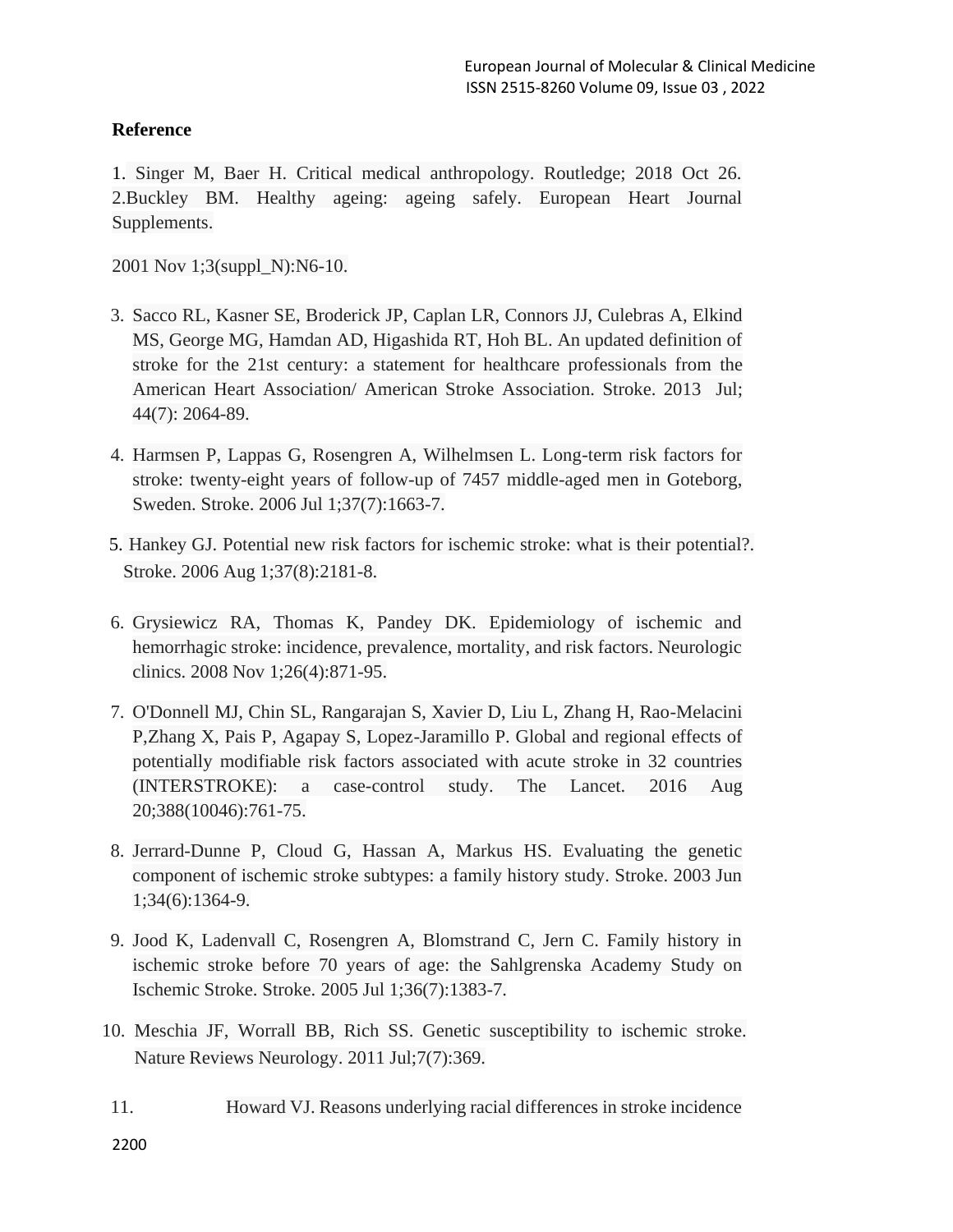# **Reference**

1. Singer M, Baer H. Critical medical anthropology. Routledge; 2018 Oct 26. 2.Buckley BM. Healthy ageing: ageing safely. European Heart Journal Supplements.

2001 Nov 1;3(suppl\_N):N6-10.

- 3. Sacco RL, Kasner SE, Broderick JP, Caplan LR, Connors JJ, Culebras A, Elkind MS, George MG, Hamdan AD, Higashida RT, Hoh BL. An updated definition of stroke for the 21st century: a statement for healthcare professionals from the American Heart Association/ American Stroke Association. Stroke. 2013 Jul; 44(7): 2064-89.
- 4. Harmsen P, Lappas G, Rosengren A, Wilhelmsen L. Long-term risk factors for stroke: twenty-eight years of follow-up of 7457 middle-aged men in Goteborg, Sweden. Stroke. 2006 Jul 1;37(7):1663-7.
- 5. Hankey GJ. Potential new risk factors for ischemic stroke: what is their potential?. Stroke. 2006 Aug 1;37(8):2181-8.
- 6. Grysiewicz RA, Thomas K, Pandey DK. Epidemiology of ischemic and hemorrhagic stroke: incidence, prevalence, mortality, and risk factors. Neurologic clinics. 2008 Nov 1;26(4):871-95.
- 7. O'Donnell MJ, Chin SL, Rangarajan S, Xavier D, Liu L, Zhang H, Rao-Melacini P,Zhang X, Pais P, Agapay S, Lopez-Jaramillo P. Global and regional effects of potentially modifiable risk factors associated with acute stroke in 32 countries (INTERSTROKE): a case-control study. The Lancet. 2016 Aug 20;388(10046):761-75.
- 8. Jerrard-Dunne P, Cloud G, Hassan A, Markus HS. Evaluating the genetic component of ischemic stroke subtypes: a family history study. Stroke. 2003 Jun 1;34(6):1364-9.
- 9. Jood K, Ladenvall C, Rosengren A, Blomstrand C, Jern C. Family history in ischemic stroke before 70 years of age: the Sahlgrenska Academy Study on Ischemic Stroke. Stroke. 2005 Jul 1;36(7):1383-7.
- 10. Meschia JF, Worrall BB, Rich SS. Genetic susceptibility to ischemic stroke. Nature Reviews Neurology. 2011 Jul;7(7):369.
- 11. Howard VJ. Reasons underlying racial differences in stroke incidence

2200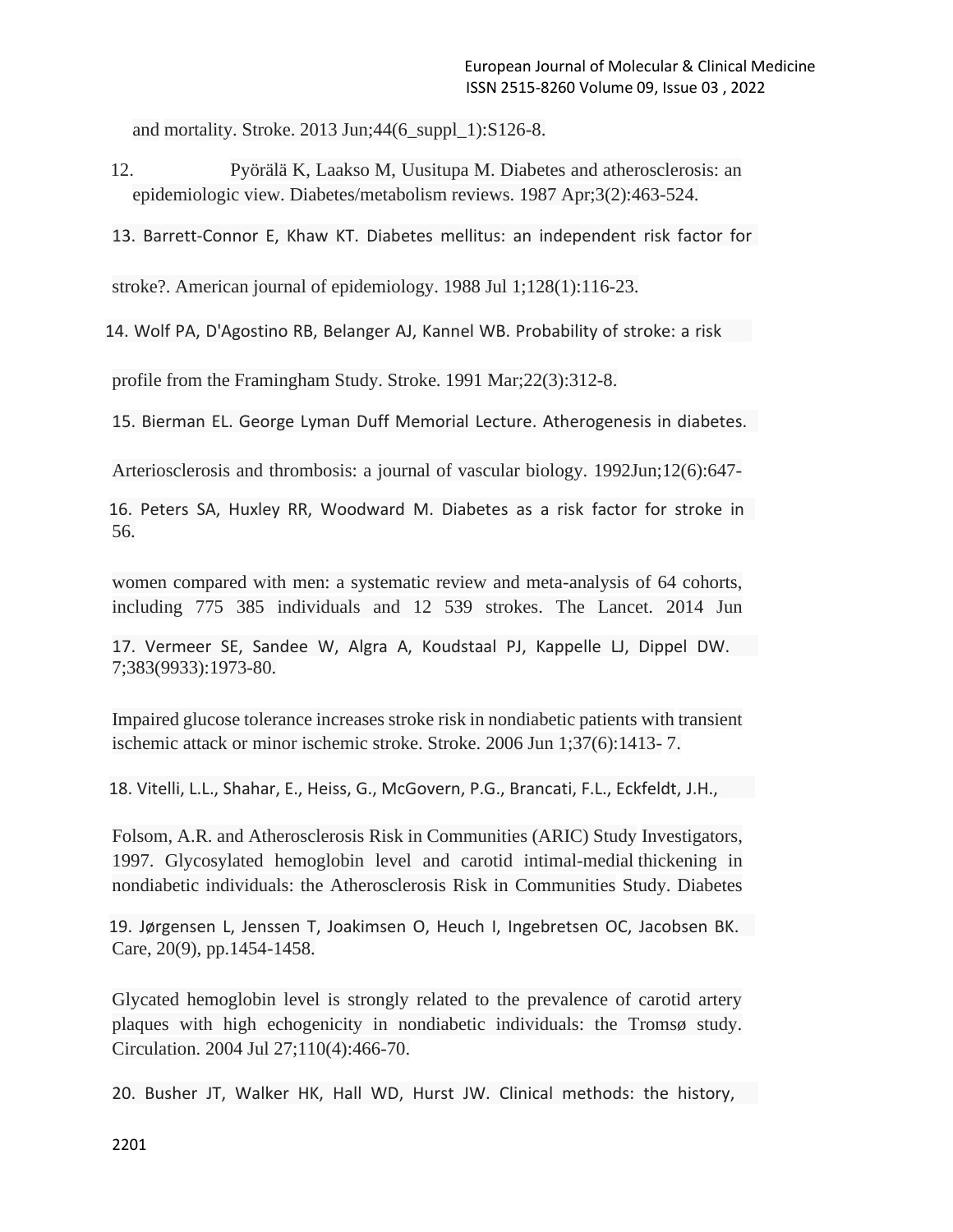and mortality. Stroke. 2013 Jun;44(6\_suppl\_1):S126-8.

- 12. Pyörälä K, Laakso M, Uusitupa M. Diabetes and atherosclerosis: an epidemiologic view. Diabetes/metabolism reviews. 1987 Apr;3(2):463-524.
- 13. Barrett-Connor E, Khaw KT. Diabetes mellitus: an independent risk factor for

stroke?. American journal of epidemiology. 1988 Jul 1;128(1):116-23.

14. Wolf PA, D'Agostino RB, Belanger AJ, Kannel WB. Probability of stroke: a risk

profile from the Framingham Study. Stroke. 1991 Mar;22(3):312-8.

15. Bierman EL. George Lyman Duff Memorial Lecture. Atherogenesis in diabetes.

Arteriosclerosis and thrombosis: a journal of vascular biology. 1992Jun;12(6):647-

56. 16. Peters SA, Huxley RR, Woodward M. Diabetes as a risk factor for stroke in

women compared with men: a systematic review and meta-analysis of 64 cohorts, including 775 385 individuals and 12 539 strokes. The Lancet. 2014 Jun

7;383(9933):1973-80. 17. Vermeer SE, Sandee W, Algra A, Koudstaal PJ, Kappelle LJ, Dippel DW.

Impaired glucose tolerance increases stroke risk in nondiabetic patients with transient ischemic attack or minor ischemic stroke. Stroke. 2006 Jun 1;37(6):1413- 7.

18. Vitelli, L.L., Shahar, E., Heiss, G., McGovern, P.G., Brancati, F.L., Eckfeldt, J.H.,

Folsom, A.R. and Atherosclerosis Risk in Communities (ARIC) Study Investigators, 1997. Glycosylated hemoglobin level and carotid intimal-medial thickening in nondiabetic individuals: the Atherosclerosis Risk in Communities Study. Diabetes

Care, 20(9), pp.1454-1458. 19. Jørgensen L, Jenssen T, Joakimsen O, Heuch I, Ingebretsen OC, Jacobsen BK.

Glycated hemoglobin level is strongly related to the prevalence of carotid artery plaques with high echogenicity in nondiabetic individuals: the Tromsø study. Circulation. 2004 Jul 27;110(4):466-70.

20. Busher JT, Walker HK, Hall WD, Hurst JW. Clinical methods: the history,